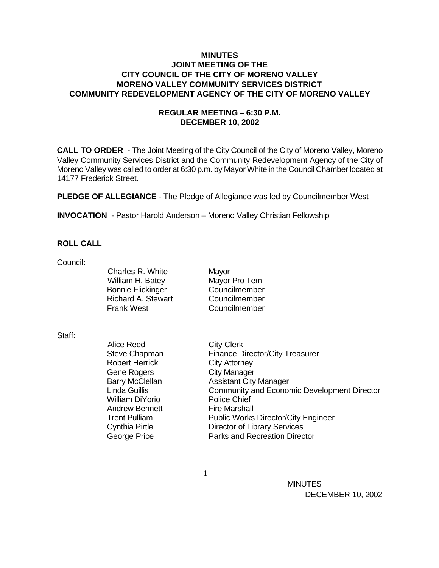## **MINUTES JOINT MEETING OF THE CITY COUNCIL OF THE CITY OF MORENO VALLEY MORENO VALLEY COMMUNITY SERVICES DISTRICT COMMUNITY REDEVELOPMENT AGENCY OF THE CITY OF MORENO VALLEY**

# **REGULAR MEETING – 6:30 P.M. DECEMBER 10, 2002**

**CALL TO ORDER** - The Joint Meeting of the City Council of the City of Moreno Valley, Moreno Valley Community Services District and the Community Redevelopment Agency of the City of Moreno Valley was called to order at 6:30 p.m. by Mayor White in the Council Chamber located at 14177 Frederick Street.

**PLEDGE OF ALLEGIANCE** - The Pledge of Allegiance was led by Councilmember West

**INVOCATION** - Pastor Harold Anderson – Moreno Valley Christian Fellowship

## **ROLL CALL**

Council:

Charles R. White Mayor William H. Batey Mayor Pro Tem Bonnie Flickinger Councilmember Richard A. Stewart Councilmember Frank West Councilmember

Staff:

Alice Reed City Clerk Steve Chapman Finance Director/City Treasurer Robert Herrick City Attorney Gene Rogers City Manager Barry McClellan Assistant City Manager Linda Guillis Community and Economic Development Director William DiYorio Police Chief Andrew Bennett Fire Marshall Trent Pulliam Public Works Director/City Engineer Cynthia Pirtle Director of Library Services George Price **Parks** and Recreation Director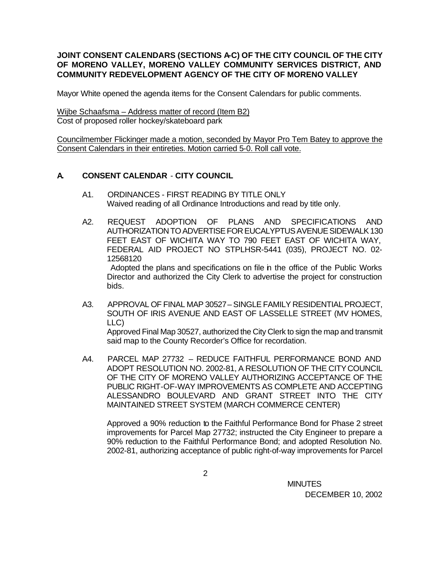# **JOINT CONSENT CALENDARS (SECTIONS A-C) OF THE CITY COUNCIL OF THE CITY OF MORENO VALLEY, MORENO VALLEY COMMUNITY SERVICES DISTRICT, AND COMMUNITY REDEVELOPMENT AGENCY OF THE CITY OF MORENO VALLEY**

Mayor White opened the agenda items for the Consent Calendars for public comments.

Wijbe Schaafsma – Address matter of record (Item B2) Cost of proposed roller hockey/skateboard park

Councilmember Flickinger made a motion, seconded by Mayor Pro Tem Batey to approve the Consent Calendars in their entireties. Motion carried 5-0. Roll call vote.

# **A. CONSENT CALENDAR** - **CITY COUNCIL**

- A1. ORDINANCES FIRST READING BY TITLE ONLY Waived reading of all Ordinance Introductions and read by title only.
- A2. REQUEST ADOPTION OF PLANS AND SPECIFICATIONS AND AUTHORIZATION TO ADVERTISE FOR EUCALYPTUS AVENUE SIDEWALK 130 FEET EAST OF WICHITA WAY TO 790 FEET EAST OF WICHITA WAY, FEDERAL AID PROJECT NO STPLHSR-5441 (035), PROJECT NO. 02- 12568120 Adopted the plans and specifications on file in the office of the Public Works Director and authorized the City Clerk to advertise the project for construction bids.
- A3. APPROVAL OF FINAL MAP 30527 SINGLE FAMILY RESIDENTIAL PROJECT, SOUTH OF IRIS AVENUE AND EAST OF LASSELLE STREET (MV HOMES, LLC) Approved Final Map 30527, authorized the City Clerk to sign the map and transmit said map to the County Recorder's Office for recordation.
- A4. PARCEL MAP 27732 REDUCE FAITHFUL PERFORMANCE BOND AND ADOPT RESOLUTION NO. 2002-81, A RESOLUTION OF THE CITY COUNCIL OF THE CITY OF MORENO VALLEY AUTHORIZING ACCEPTANCE OF THE PUBLIC RIGHT-OF-WAY IMPROVEMENTS AS COMPLETE AND ACCEPTING ALESSANDRO BOULEVARD AND GRANT STREET INTO THE CITY MAINTAINED STREET SYSTEM (MARCH COMMERCE CENTER)

Approved a 90% reduction to the Faithful Performance Bond for Phase 2 street improvements for Parcel Map 27732; instructed the City Engineer to prepare a 90% reduction to the Faithful Performance Bond; and adopted Resolution No. 2002-81, authorizing acceptance of public right-of-way improvements for Parcel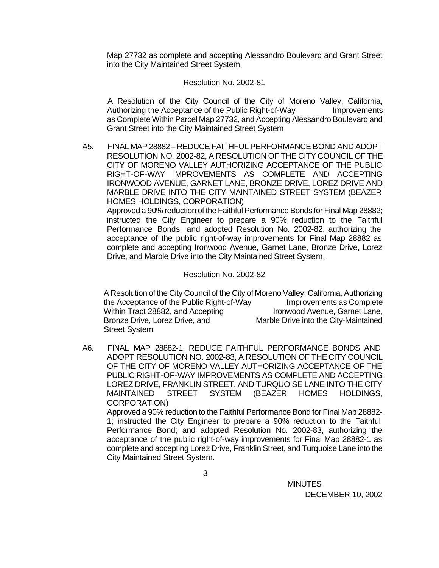Map 27732 as complete and accepting Alessandro Boulevard and Grant Street into the City Maintained Street System.

### Resolution No. 2002-81

A Resolution of the City Council of the City of Moreno Valley, California, Authorizing the Acceptance of the Public Right-of-Way **Improvements** as Complete Within Parcel Map 27732, and Accepting Alessandro Boulevard and Grant Street into the City Maintained Street System

A5. FINAL MAP 28882 – REDUCE FAITHFUL PERFORMANCE BOND AND ADOPT RESOLUTION NO. 2002-82, A RESOLUTION OF THE CITY COUNCIL OF THE CITY OF MORENO VALLEY AUTHORIZING ACCEPTANCE OF THE PUBLIC RIGHT-OF-WAY IMPROVEMENTS AS COMPLETE AND ACCEPTING IRONWOOD AVENUE, GARNET LANE, BRONZE DRIVE, LOREZ DRIVE AND MARBLE DRIVE INTO THE CITY MAINTAINED STREET SYSTEM (BEAZER HOMES HOLDINGS, CORPORATION) Approved a 90% reduction of the Faithful Performance Bonds for Final Map 28882; instructed the City Engineer to prepare a 90% reduction to the Faithful Performance Bonds; and adopted Resolution No. 2002-82, authorizing the acceptance of the public right-of-way improvements for Final Map 28882 as complete and accepting Ironwood Avenue, Garnet Lane, Bronze Drive, Lorez Drive, and Marble Drive into the City Maintained Street System.

#### Resolution No. 2002-82

A Resolution of the City Council of the City of Moreno Valley, California, Authorizing the Acceptance of the Public Right-of-Way Improvements as Complete Within Tract 28882, and Accepting Ironwood Avenue, Garnet Lane, Bronze Drive, Lorez Drive, and Marble Drive into the City-Maintained Street System

A6. FINAL MAP 28882-1, REDUCE FAITHFUL PERFORMANCE BONDS AND ADOPT RESOLUTION NO. 2002-83, A RESOLUTION OF THE CITY COUNCIL OF THE CITY OF MORENO VALLEY AUTHORIZING ACCEPTANCE OF THE PUBLIC RIGHT-OF-WAY IMPROVEMENTS AS COMPLETE AND ACCEPTING LOREZ DRIVE, FRANKLIN STREET, AND TURQUOISE LANE INTO THE CITY MAINTAINED STREET SYSTEM (BEAZER HOMES HOLDINGS, CORPORATION) Approved a 90% reduction to the Faithful Performance Bond for Final Map 28882-

1; instructed the City Engineer to prepare a 90% reduction to the Faithful Performance Bond; and adopted Resolution No. 2002-83, authorizing the acceptance of the public right-of-way improvements for Final Map 28882-1 as complete and accepting Lorez Drive, Franklin Street, and Turquoise Lane into the City Maintained Street System.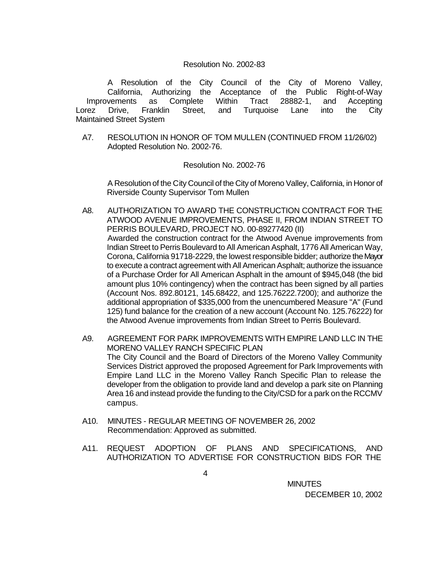#### Resolution No. 2002-83

A Resolution of the City Council of the City of Moreno Valley, California, Authorizing the Acceptance of the Public Right-of-Way Improvements as Complete Within Tract 28882-1, and Accepting Lorez Drive, Franklin Street, and Turquoise Lane into the City Maintained Street System

A7. RESOLUTION IN HONOR OF TOM MULLEN (CONTINUED FROM 11/26/02) Adopted Resolution No. 2002-76.

#### Resolution No. 2002-76

A Resolution of the City Council of the City of Moreno Valley, California, in Honor of Riverside County Supervisor Tom Mullen

- A8. AUTHORIZATION TO AWARD THE CONSTRUCTION CONTRACT FOR THE ATWOOD AVENUE IMPROVEMENTS, PHASE II, FROM INDIAN STREET TO PERRIS BOULEVARD, PROJECT NO. 00-89277420 (II) Awarded the construction contract for the Atwood Avenue improvements from Indian Street to Perris Boulevard to All American Asphalt, 1776 All American Way, Corona, California 91718-2229, the lowest responsible bidder; authorize the Mayor to execute a contract agreement with All American Asphalt; authorize the issuance of a Purchase Order for All American Asphalt in the amount of \$945,048 (the bid amount plus 10% contingency) when the contract has been signed by all parties (Account Nos. 892.80121, 145.68422, and 125.76222.7200); and authorize the additional appropriation of \$335,000 from the unencumbered Measure "A" (Fund 125) fund balance for the creation of a new account (Account No. 125.76222) for the Atwood Avenue improvements from Indian Street to Perris Boulevard.
- A9. AGREEMENT FOR PARK IMPROVEMENTS WITH EMPIRE LAND LLC IN THE MORENO VALLEY RANCH SPECIFIC PLAN The City Council and the Board of Directors of the Moreno Valley Community Services District approved the proposed Agreement for Park Improvements with Empire Land LLC in the Moreno Valley Ranch Specific Plan to release the developer from the obligation to provide land and develop a park site on Planning Area 16 and instead provide the funding to the City/CSD for a park on the RCCMV campus.
- A10. MINUTES REGULAR MEETING OF NOVEMBER 26, 2002 Recommendation: Approved as submitted.
- A11. REQUEST ADOPTION OF PLANS AND SPECIFICATIONS, AND AUTHORIZATION TO ADVERTISE FOR CONSTRUCTION BIDS FOR THE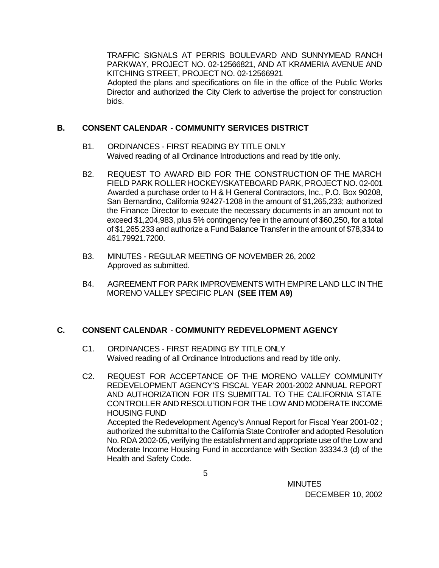TRAFFIC SIGNALS AT PERRIS BOULEVARD AND SUNNYMEAD RANCH PARKWAY, PROJECT NO. 02-12566821, AND AT KRAMERIA AVENUE AND KITCHING STREET, PROJECT NO. 02-12566921 Adopted the plans and specifications on file in the office of the Public Works Director and authorized the City Clerk to advertise the project for construction bids.

## **B. CONSENT CALENDAR** - **COMMUNITY SERVICES DISTRICT**

- B1. ORDINANCES FIRST READING BY TITLE ONLY Waived reading of all Ordinance Introductions and read by title only.
- B2. REQUEST TO AWARD BID FOR THE CONSTRUCTION OF THE MARCH FIELD PARK ROLLER HOCKEY/SKATEBOARD PARK, PROJECT NO. 02-001 Awarded a purchase order to H & H General Contractors, Inc., P.O. Box 90208, San Bernardino, California 92427-1208 in the amount of \$1,265,233; authorized the Finance Director to execute the necessary documents in an amount not to exceed \$1,204,983, plus 5% contingency fee in the amount of \$60,250, for a total of \$1,265,233 and authorize a Fund Balance Transfer in the amount of \$78,334 to 461.79921.7200.
- B3. MINUTES REGULAR MEETING OF NOVEMBER 26, 2002 Approved as submitted.
- B4. AGREEMENT FOR PARK IMPROVEMENTS WITH EMPIRE LAND LLC IN THE MORENO VALLEY SPECIFIC PLAN **(SEE ITEM A9)**

## **C. CONSENT CALENDAR** - **COMMUNITY REDEVELOPMENT AGENCY**

- C1. ORDINANCES FIRST READING BY TITLE ONLY Waived reading of all Ordinance Introductions and read by title only.
- C2. REQUEST FOR ACCEPTANCE OF THE MORENO VALLEY COMMUNITY REDEVELOPMENT AGENCY'S FISCAL YEAR 2001-2002 ANNUAL REPORT AND AUTHORIZATION FOR ITS SUBMITTAL TO THE CALIFORNIA STATE CONTROLLER AND RESOLUTION FOR THE LOW AND MODERATE INCOME HOUSING FUND Accepted the Redevelopment Agency's Annual Report for Fiscal Year 2001-02 ; authorized the submittal to the California State Controller and adopted Resolution No. RDA 2002-05, verifying the establishment and appropriate use of the Low and Moderate Income Housing Fund in accordance with Section 33334.3 (d) of the

Health and Safety Code.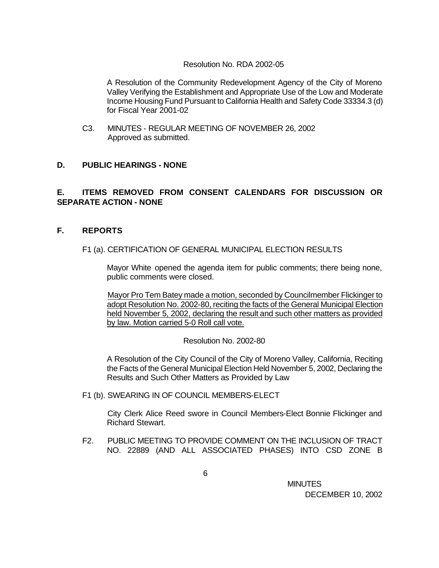### Resolution No. RDA 2002-05

A Resolution of the Community Redevelopment Agency of the City of Moreno Valley Verifying the Establishment and Appropriate Use of the Low and Moderate Income Housing Fund Pursuant to California Health and Safety Code 33334.3 (d) for Fiscal Year 2001-02

C3. MINUTES - REGULAR MEETING OF NOVEMBER 26, 2002 Approved as submitted.

## **D. PUBLIC HEARINGS - NONE**

# **E. ITEMS REMOVED FROM CONSENT CALENDARS FOR DISCUSSION OR SEPARATE ACTION - NONE**

### **F. REPORTS**

### F1 (a). CERTIFICATION OF GENERAL MUNICIPAL ELECTION RESULTS

Mayor White opened the agenda item for public comments; there being none, public comments were closed.

Mayor Pro Tem Batey made a motion, seconded by Councilmember Flickinger to adopt Resolution No. 2002-80, reciting the facts of the General Municipal Election held November 5, 2002, declaring the result and such other matters as provided by law. Motion carried 5-0 Roll call vote.

Resolution No. 2002-80

A Resolution of the City Council of the City of Moreno Valley, California, Reciting the Facts of the General Municipal Election Held November 5, 2002, Declaring the Results and Such Other Matters as Provided by Law

F1 (b). SWEARING IN OF COUNCIL MEMBERS-ELECT

City Clerk Alice Reed swore in Council Members-Elect Bonnie Flickinger and Richard Stewart.

F2. PUBLIC MEETING TO PROVIDE COMMENT ON THE INCLUSION OF TRACT NO. 22889 (AND ALL ASSOCIATED PHASES) INTO CSD ZONE B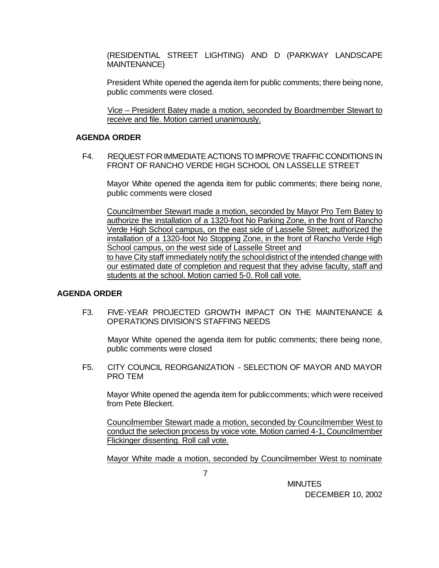(RESIDENTIAL STREET LIGHTING) AND D (PARKWAY LANDSCAPE MAINTENANCE)

President White opened the agenda item for public comments; there being none, public comments were closed.

Vice – President Batey made a motion, seconded by Boardmember Stewart to receive and file. Motion carried unanimously.

### **AGENDA ORDER**

F4. REQUEST FOR IMMEDIATE ACTIONS TO IMPROVE TRAFFIC CONDITIONS IN FRONT OF RANCHO VERDE HIGH SCHOOL ON LASSELLE STREET

Mayor White opened the agenda item for public comments; there being none, public comments were closed

Councilmember Stewart made a motion, seconded by Mayor Pro Tem Batey to authorize the installation of a 1320-foot No Parking Zone, in the front of Rancho Verde High School campus, on the east side of Lasselle Street; authorized the installation of a 1320-foot No Stopping Zone, in the front of Rancho Verde High School campus, on the west side of Lasselle Street and to have City staff immediately notify the school district of the intended change with our estimated date of completion and request that they advise faculty, staff and students at the school. Motion carried 5-0. Roll call vote.

### **AGENDA ORDER**

F3. FIVE-YEAR PROJECTED GROWTH IMPACT ON THE MAINTENANCE & OPERATIONS DIVISION'S STAFFING NEEDS

Mayor White opened the agenda item for public comments; there being none, public comments were closed

F5. CITY COUNCIL REORGANIZATION - SELECTION OF MAYOR AND MAYOR PRO TEM

Mayor White opened the agenda item for public comments; which were received from Pete Bleckert.

Councilmember Stewart made a motion, seconded by Councilmember West to conduct the selection process by voice vote. Motion carried 4-1, Councilmember Flickinger dissenting. Roll call vote.

Mayor White made a motion, seconded by Councilmember West to nominate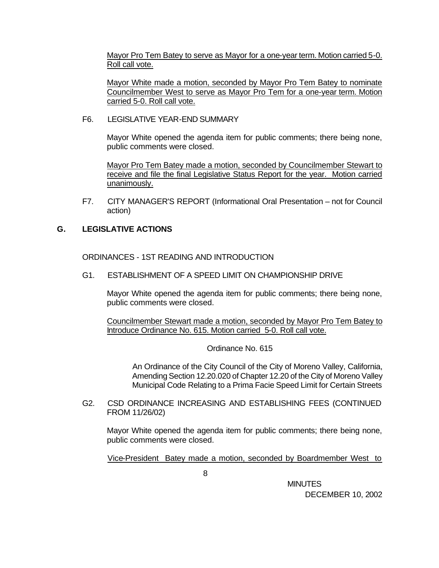Mayor Pro Tem Batey to serve as Mayor for a one-year term. Motion carried 5-0. Roll call vote.

Mayor White made a motion, seconded by Mayor Pro Tem Batey to nominate Councilmember West to serve as Mayor Pro Tem for a one-year term. Motion carried 5-0. Roll call vote.

F6. LEGISLATIVE YEAR-END SUMMARY

Mayor White opened the agenda item for public comments; there being none, public comments were closed.

Mayor Pro Tem Batey made a motion, seconded by Councilmember Stewart to receive and file the final Legislative Status Report for the year. Motion carried unanimously.

F7. CITY MANAGER'S REPORT (Informational Oral Presentation – not for Council action)

## **G. LEGISLATIVE ACTIONS**

ORDINANCES - 1ST READING AND INTRODUCTION

G1. ESTABLISHMENT OF A SPEED LIMIT ON CHAMPIONSHIP DRIVE

Mayor White opened the agenda item for public comments; there being none, public comments were closed.

Councilmember Stewart made a motion, seconded by Mayor Pro Tem Batey to Introduce Ordinance No. 615. Motion carried 5-0. Roll call vote.

Ordinance No. 615

 An Ordinance of the City Council of the City of Moreno Valley, California, Amending Section 12.20.020 of Chapter 12.20 of the City of Moreno Valley Municipal Code Relating to a Prima Facie Speed Limit for Certain Streets

G2. CSD ORDINANCE INCREASING AND ESTABLISHING FEES (CONTINUED FROM 11/26/02)

Mayor White opened the agenda item for public comments; there being none, public comments were closed.

Vice-President Batey made a motion, seconded by Boardmember West to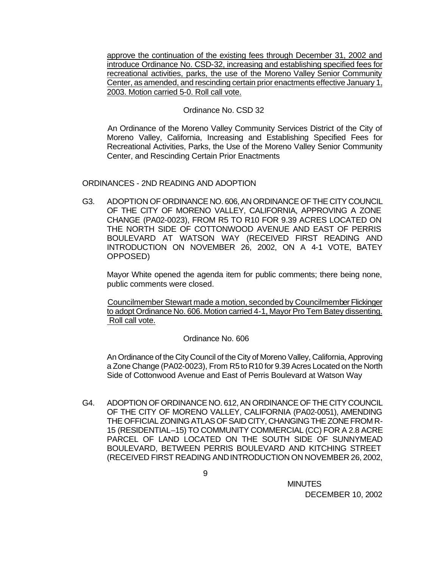approve the continuation of the existing fees through December 31, 2002 and introduce Ordinance No. CSD-32, increasing and establishing specified fees for recreational activities, parks, the use of the Moreno Valley Senior Community Center, as amended, and rescinding certain prior enactments effective January 1, 2003. Motion carried 5-0. Roll call vote.

### Ordinance No. CSD 32

An Ordinance of the Moreno Valley Community Services District of the City of Moreno Valley, California, Increasing and Establishing Specified Fees for Recreational Activities, Parks, the Use of the Moreno Valley Senior Community Center, and Rescinding Certain Prior Enactments

### ORDINANCES - 2ND READING AND ADOPTION

G3. ADOPTION OF ORDINANCE NO. 606, AN ORDINANCE OF THE CITY COUNCIL OF THE CITY OF MORENO VALLEY, CALIFORNIA, APPROVING A ZONE CHANGE (PA02-0023), FROM R5 TO R10 FOR 9.39 ACRES LOCATED ON THE NORTH SIDE OF COTTONWOOD AVENUE AND EAST OF PERRIS BOULEVARD AT WATSON WAY (RECEIVED FIRST READING AND INTRODUCTION ON NOVEMBER 26, 2002, ON A 4-1 VOTE, BATEY OPPOSED)

Mayor White opened the agenda item for public comments; there being none, public comments were closed.

Councilmember Stewart made a motion, seconded by Councilmember Flickinger to adopt Ordinance No. 606. Motion carried 4-1, Mayor Pro Tem Batey dissenting. Roll call vote.

### Ordinance No. 606

An Ordinance of the City Council of the City of Moreno Valley, California, Approving a Zone Change (PA02-0023), From R5 to R10 for 9.39 Acres Located on the North Side of Cottonwood Avenue and East of Perris Boulevard at Watson Way

G4. ADOPTION OF ORDINANCE NO. 612, AN ORDINANCE OF THE CITY COUNCIL OF THE CITY OF MORENO VALLEY, CALIFORNIA (PA02-0051), AMENDING THE OFFICIAL ZONING ATLAS OF SAID CITY, CHANGING THE ZONE FROM R-15 (RESIDENTIAL–15) TO COMMUNITY COMMERCIAL (CC) FOR A 2.8 ACRE PARCEL OF LAND LOCATED ON THE SOUTH SIDE OF SUNNYMEAD BOULEVARD, BETWEEN PERRIS BOULEVARD AND KITCHING STREET (RECEIVED FIRST READING AND INTRODUCTION ON NOVEMBER 26, 2002,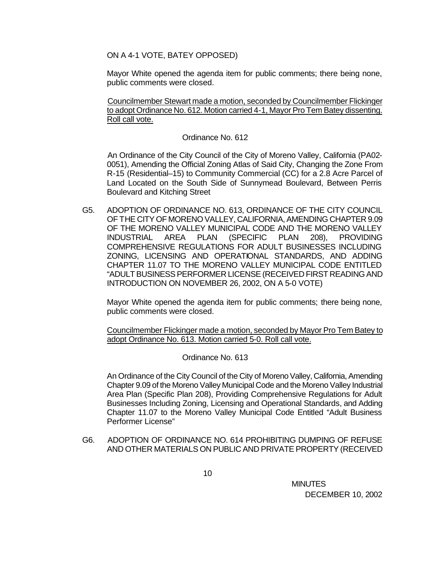ON A 4-1 VOTE, BATEY OPPOSED)

Mayor White opened the agenda item for public comments; there being none, public comments were closed.

Councilmember Stewart made a motion, seconded by Councilmember Flickinger to adopt Ordinance No. 612. Motion carried 4-1, Mayor Pro Tem Batey dissenting. Roll call vote.

### Ordinance No. 612

An Ordinance of the City Council of the City of Moreno Valley, California (PA02- 0051), Amending the Official Zoning Atlas of Said City, Changing the Zone From R-15 (Residential–15) to Community Commercial (CC) for a 2.8 Acre Parcel of Land Located on the South Side of Sunnymead Boulevard, Between Perris Boulevard and Kitching Street

G5. ADOPTION OF ORDINANCE NO. 613, ORDINANCE OF THE CITY COUNCIL OF THE CITY OF MORENO VALLEY, CALIFORNIA, AMENDING CHAPTER 9.09 OF THE MORENO VALLEY MUNICIPAL CODE AND THE MORENO VALLEY INDUSTRIAL AREA PLAN (SPECIFIC PLAN 208), PROVIDING COMPREHENSIVE REGULATIONS FOR ADULT BUSINESSES INCLUDING ZONING, LICENSING AND OPERATIONAL STANDARDS, AND ADDING CHAPTER 11.07 TO THE MORENO VALLEY MUNICIPAL CODE ENTITLED "ADULT BUSINESS PERFORMER LICENSE (RECEIVED FIRST READING AND INTRODUCTION ON NOVEMBER 26, 2002, ON A 5-0 VOTE)

Mayor White opened the agenda item for public comments; there being none, public comments were closed.

Councilmember Flickinger made a motion, seconded by Mayor Pro Tem Batey to adopt Ordinance No. 613. Motion carried 5-0. Roll call vote.

Ordinance No. 613

An Ordinance of the City Council of the City of Moreno Valley, California, Amending Chapter 9.09 of the Moreno Valley Municipal Code and the Moreno Valley Industrial Area Plan (Specific Plan 208), Providing Comprehensive Regulations for Adult Businesses Including Zoning, Licensing and Operational Standards, and Adding Chapter 11.07 to the Moreno Valley Municipal Code Entitled "Adult Business Performer License"

G6. ADOPTION OF ORDINANCE NO. 614 PROHIBITING DUMPING OF REFUSE AND OTHER MATERIALS ON PUBLIC AND PRIVATE PROPERTY (RECEIVED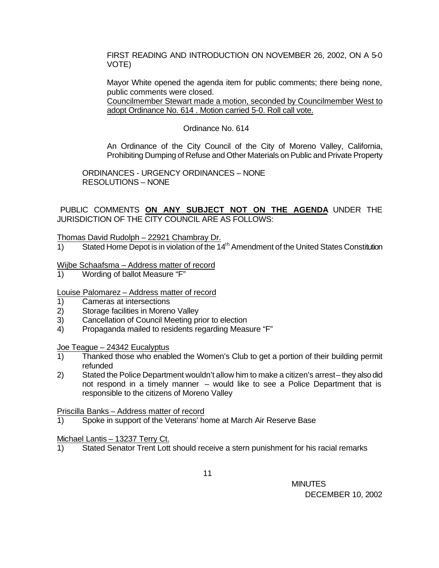FIRST READING AND INTRODUCTION ON NOVEMBER 26, 2002, ON A 5-0 VOTE)

Mayor White opened the agenda item for public comments; there being none, public comments were closed.

Councilmember Stewart made a motion, seconded by Councilmember West to adopt Ordinance No. 614 . Motion carried 5-0. Roll call vote.

### Ordinance No. 614

An Ordinance of the City Council of the City of Moreno Valley, California, Prohibiting Dumping of Refuse and Other Materials on Public and Private Property

ORDINANCES - URGENCY ORDINANCES – NONE RESOLUTIONS – NONE

PUBLIC COMMENTS **ON ANY SUBJECT NOT ON THE AGENDA** UNDER THE JURISDICTION OF THE CITY COUNCIL ARE AS FOLLOWS:

### Thomas David Rudolph – 22921 Chambray Dr.

1) Stated Home Depot is in violation of the  $14<sup>th</sup>$  Amendment of the United States Constitution

### Wijbe Schaafsma – Address matter of record

1) Wording of ballot Measure "F"

### Louise Palomarez – Address matter of record

- 1) Cameras at intersections
- 2) Storage facilities in Moreno Valley
- 3) Cancellation of Council Meeting prior to election
- 4) Propaganda mailed to residents regarding Measure "F"

#### Joe Teague – 24342 Eucalyptus

- 1) Thanked those who enabled the Women's Club to get a portion of their building permit refunded
- 2) Stated the Police Department wouldn't allow him to make a citizen's arrest-they also did not respond in a timely manner – would like to see a Police Department that is responsible to the citizens of Moreno Valley

### Priscilla Banks – Address matter of record

1) Spoke in support of the Veterans' home at March Air Reserve Base

### Michael Lantis – 13237 Terry Ct.

1) Stated Senator Trent Lott should receive a stern punishment for his racial remarks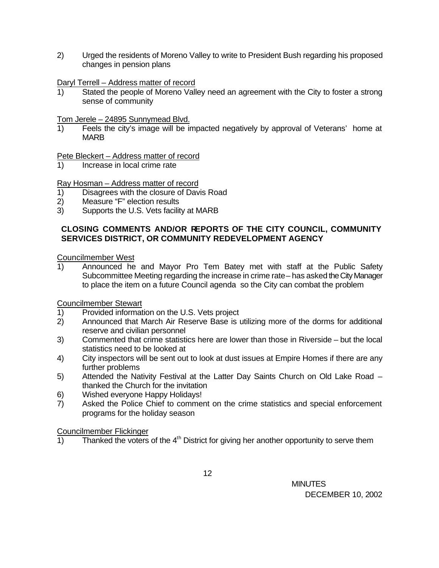2) Urged the residents of Moreno Valley to write to President Bush regarding his proposed changes in pension plans

Daryl Terrell – Address matter of record

1) Stated the people of Moreno Valley need an agreement with the City to foster a strong sense of community

Tom Jerele – 24895 Sunnymead Blvd.

1) Feels the city's image will be impacted negatively by approval of Veterans' home at MARB

Pete Bleckert – Address matter of record

1) Increase in local crime rate

Ray Hosman – Address matter of record

- 1) Disagrees with the closure of Davis Road
- 2) Measure "F" election results
- 3) Supports the U.S. Vets facility at MARB

## **CLOSING COMMENTS AND/OR REPORTS OF THE CITY COUNCIL, COMMUNITY SERVICES DISTRICT, OR COMMUNITY REDEVELOPMENT AGENCY**

Councilmember West

1) Announced he and Mayor Pro Tem Batey met with staff at the Public Safety Subcommittee Meeting regarding the increase in crime rate – has asked the City Manager to place the item on a future Council agenda so the City can combat the problem

Councilmember Stewart

- 1) Provided information on the U.S. Vets project
- 2) Announced that March Air Reserve Base is utilizing more of the dorms for additional reserve and civilian personnel
- 3) Commented that crime statistics here are lower than those in Riverside but the local statistics need to be looked at
- 4) City inspectors will be sent out to look at dust issues at Empire Homes if there are any further problems
- 5) Attended the Nativity Festival at the Latter Day Saints Church on Old Lake Road thanked the Church for the invitation
- 6) Wished everyone Happy Holidays!
- 7) Asked the Police Chief to comment on the crime statistics and special enforcement programs for the holiday season

Councilmember Flickinger

 $1)$  Thanked the voters of the  $4<sup>th</sup>$  District for giving her another opportunity to serve them